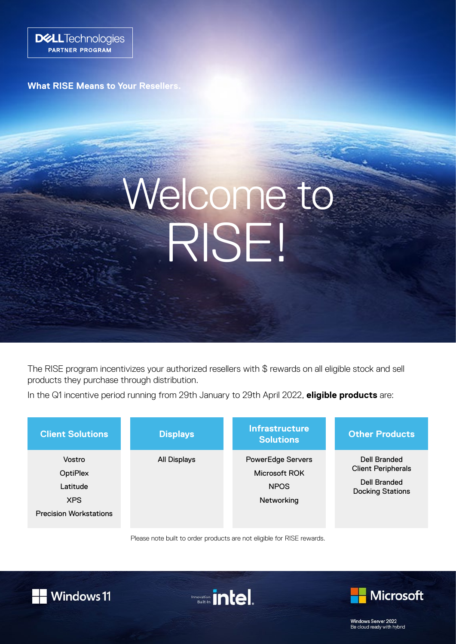

**What RISE Means to Your Resellers.**

# Welcome to RISE!

The RISE program incentivizes your authorized resellers with \$ rewards on all eligible stock and sell products they purchase through distribution.

In the Q1 incentive period running from 29th January to 29th April 2022, **eligible products** are:

| <b>Client Solutions</b>                                                              | <b>Displays</b> | <b>Infrastructure</b><br><b>Solutions</b>                              | <b>Other Products</b>                                                                       |
|--------------------------------------------------------------------------------------|-----------------|------------------------------------------------------------------------|---------------------------------------------------------------------------------------------|
| Vostro<br><b>OptiPlex</b><br>Latitude<br><b>XPS</b><br><b>Precision Workstations</b> | All Displays    | <b>PowerEdge Servers</b><br>Microsoft ROK<br><b>NPOS</b><br>Networking | Dell Branded<br><b>Client Peripherals</b><br><b>Dell Branded</b><br><b>Docking Stations</b> |

Please note built to order products are not eligible for RISE rewards.









Windows Server 2022 Be cloud ready with hybrid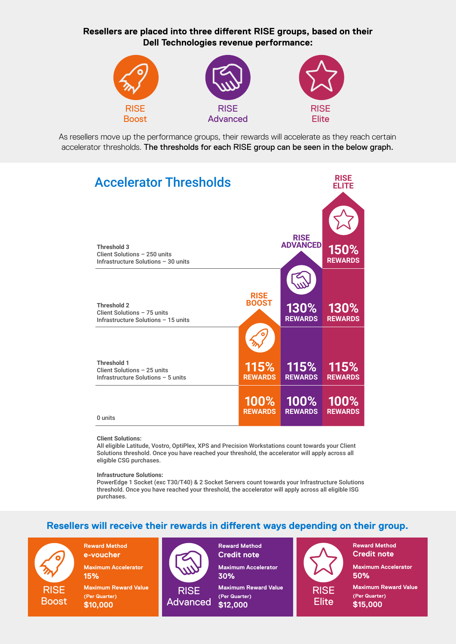**Resellers are placed into three different RISE groups, based on their Dell Technologies revenue performance:**



As resellers move up the performance groups, their rewards will accelerate as they reach certain accelerator thresholds. The thresholds for each RISE group can be seen in the below graph.



#### **Client Solutions:**

All eligible Latitude, Vostro, OptiPlex, XPS and Precision Workstations count towards your Client Solutions threshold. Once you have reached your threshold, the accelerator will apply across all eligible CSG purchases.

**Infrastructure Solutions:** 

PowerEdge 1 Socket (exc T30/T40) & 2 Socket Servers count towards your Infrastructure Solutions threshold. Once you have reached your threshold, the accelerator will apply across all eligible ISG purchases.

### **Resellers will receive their rewards in different ways depending on their group.**

RISE **Boost**  **Reward Method e-voucher**

**Maximum Accelerator 15%**

**Maximum Reward Value (Per Quarter) \$10,000** 



**Credit note Maximum Accelerator 30%**

**Maximum Reward Value (Per Quarter) \$12,000** 

**Reward Method** 



**Reward Method Credit note**

**Maximum Accelerator 50%**

**Maximum Reward Value (Per Quarter) \$15,000**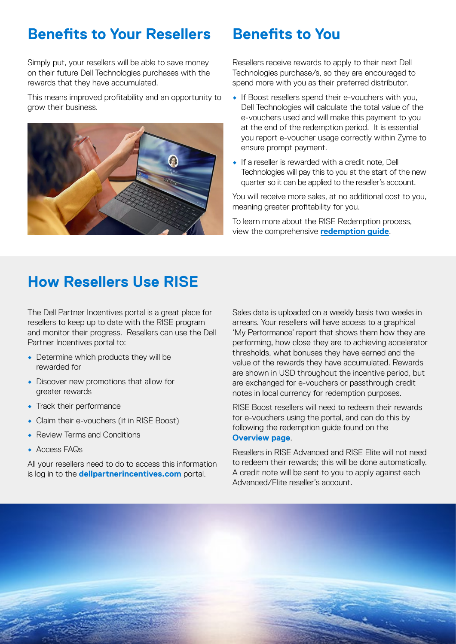## **Benefits to Your Resellers Benefits to You**

Simply put, your resellers will be able to save money on their future Dell Technologies purchases with the rewards that they have accumulated.

This means improved profitability and an opportunity to grow their business.



Resellers receive rewards to apply to their next Dell Technologies purchase/s, so they are encouraged to spend more with you as their preferred distributor.

- If Boost resellers spend their e-vouchers with you, Dell Technologies will calculate the total value of the e-vouchers used and will make this payment to you at the end of the redemption period. It is essential you report e-voucher usage correctly within Zyme to ensure prompt payment.
- If a reseller is rewarded with a credit note, Dell Technologies will pay this to you at the start of the new quarter so it can be applied to the reseller's account.

You will receive more sales, at no additional cost to you, meaning greater profitability for you.

To learn more about the RISE Redemption process, view the comprehensive **[redemption guide](https://incentives.dellpartnerincentives.com/uploads/rise_distributor_redemption_guide.pdf)**.

## **How Resellers Use RISE**

The Dell Partner Incentives portal is a great place for resellers to keep up to date with the RISE program and monitor their progress. Resellers can use the Dell Partner Incentives portal to:

- Determine which products they will be rewarded for
- Discover new promotions that allow for greater rewards
- Track their performance
- Claim their e-vouchers (if in RISE Boost)
- Review Terms and Conditions
- Access FAQs

All your resellers need to do to access this information is log in to the **[dellpartnerincentives.com](https://www.dellpartnerincentives.com/Login?ReturnUrl=%2f)** portal.

Sales data is uploaded on a weekly basis two weeks in arrears. Your resellers will have access to a graphical 'My Performance' report that shows them how they are performing, how close they are to achieving accelerator thresholds, what bonuses they have earned and the value of the rewards they have accumulated. Rewards are shown in USD throughout the incentive period, but are exchanged for e-vouchers or passthrough credit notes in local currency for redemption purposes.

RISE Boost resellers will need to redeem their rewards for e-vouchers using the portal, and can do this by following the redemption guide found on the **[Overview page](https://incentives.dellpartnerincentives.com/RiseProgram/RiseOverview/5560)**.

Resellers in RISE Advanced and RISE Elite will not need to redeem their rewards; this will be done automatically. A credit note will be sent to you to apply against each Advanced/Elite reseller's account.

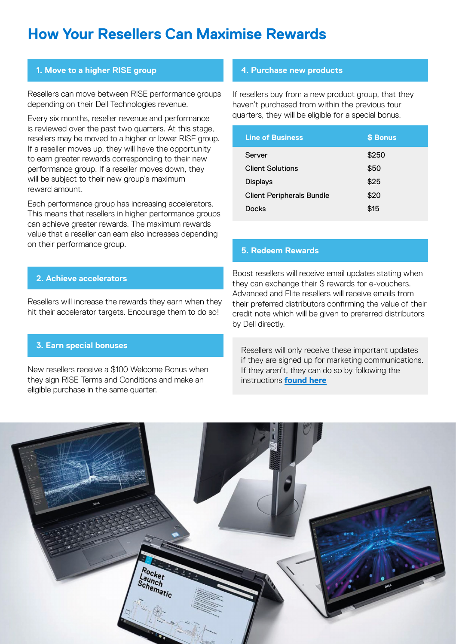## **How Your Resellers Can Maximise Rewards**

#### **1. Move to a higher RISE group**

Resellers can move between RISE performance groups depending on their Dell Technologies revenue.

Every six months, reseller revenue and performance is reviewed over the past two quarters. At this stage, resellers may be moved to a higher or lower RISE group. If a reseller moves up, they will have the opportunity to earn greater rewards corresponding to their new performance group. If a reseller moves down, they will be subject to their new group's maximum reward amount.

Each performance group has increasing accelerators. This means that resellers in higher performance groups can achieve greater rewards. The maximum rewards value that a reseller can earn also increases depending on their performance group.

#### **2. Achieve accelerators**

Resellers will increase the rewards they earn when they hit their accelerator targets. Encourage them to do so!

### **3. Earn special bonuses**

New resellers receive a \$100 Welcome Bonus when they sign RISE Terms and Conditions and make an eligible purchase in the same quarter.

#### **4. Purchase new products**

If resellers buy from a new product group, that they haven't purchased from within the previous four quarters, they will be eligible for a special bonus.

| <b>Line of Business</b>          | \$ Bonus |
|----------------------------------|----------|
| Server                           | \$250    |
| <b>Client Solutions</b>          | \$50     |
| <b>Displays</b>                  | \$25     |
| <b>Client Peripherals Bundle</b> | \$20     |
| Docks                            | \$15     |

### **5. Redeem Rewards**

Boost resellers will receive email updates stating when they can exchange their \$ rewards for e-vouchers. Advanced and Elite resellers will receive emails from their preferred distributors confirming the value of their credit note which will be given to preferred distributors by Dell directly.

 Resellers will only receive these important updates if they are signed up for marketing communications. If they aren't, they can do so by following the instructions **[found here](https://incentives.dellpartnerincentives.com/Uploads/preference_management_guide_partners.pdf)**